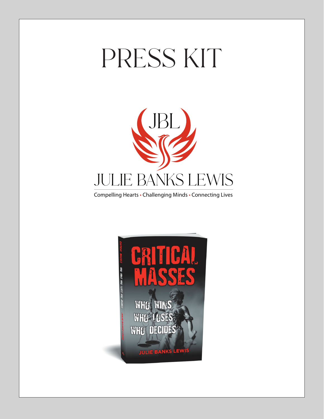# PRESS KIT



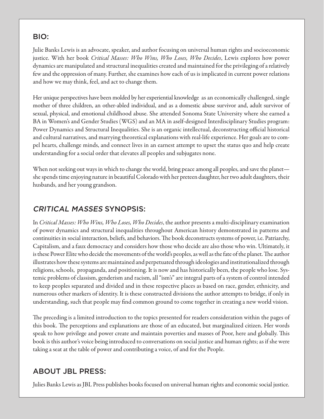#### BIO:

Julie Banks Lewis is an advocate, speaker, and author focusing on universal human rights and socioeconomic justice. With her book *Critical Masses: Who Wins, Who Loses, Who Decides*, Lewis explores how power dynamics are manipulated and structural inequalities created and maintained for the privileging of a relatively few and the oppression of many. Further, she examines how each of us is implicated in current power relations and how we may think, feel, and act to change them.

Her unique perspectives have been molded by her experiential knowledge as an economically challenged, single mother of three children, an other-abled individual, and as a domestic abuse survivor and, adult survivor of sexual, physical, and emotional childhood abuse. She attended Sonoma State University where she earned a BA in Women's and Gender Studies (WGS) and an MA in aself-designed Interdisciplinary Studies program: Power Dynamics and Structural Inequalities. She is an organic intellectual, deconstructing official historical and cultural narratives, and marrying theoretical explanations with real-life experience. Her goals are to compel hearts, challenge minds, and connect lives in an earnest attempt to upset the status quo and help create understanding for a social order that elevates all peoples and subjugates none.

When not seeking out ways in which to change the world, bring peace among all peoples, and save the planet she spends time enjoying nature in beautiful Colorado with her preteen daughter, her two adult daughters, their husbands, and her young grandson.

#### CRITICAL MASSES SYNOPSIS:

In *Critical Masses: Who Wins, Who Loses, Who Decides*, the author presents a multi-disciplinary examination of power dynamics and structural inequalities throughout American history demonstrated in patterns and continuities in social interaction, beliefs, and behaviors. The book deconstructs systems of power, i.e. Patriarchy, Capitalism, and a faux democracy and considers how those who decide are also those who win. Ultimately, it is these Power Elite who decide the movements of the world's peoples, as well as the fate of the planet. The author illustrates how these systems are maintained and perpetuated through ideologies and institutionalized through religions, schools, propaganda, and positioning. It is now and has historically been, the people who lose. Systemic problems of classism, genderism and racism, all "ism's" are integral parts of a system of control intended to keep peoples separated and divided and in these respective places as based on race, gender, ethnicity, and numerous other markers of identity. It is these constructed divisions the author attempts to bridge, if only in understanding, such that people may find common ground to come together in creating a new world vision.

The preceding is a limited introduction to the topics presented for readers consideration within the pages of this book. The perceptions and explanations are those of an educated, but marginalized citizen. Her words speak to how privilege and power create and maintain poverties and masses of Poor, here and globally. This book is this author's voice being introduced to conversations on social justice and human rights; as if she were taking a seat at the table of power and contributing a voice, of and for the People.

#### ABOUT JBL PRESS:

Julies Banks Lewis as JBL Press publishes books focused on universal human rights and economic social justice.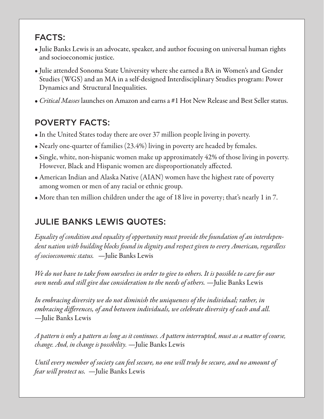## FACTS:

- Julie Banks Lewis is an advocate, speaker, and author focusing on universal human rights and socioeconomic justice.
- Julie attended Sonoma State University where she earned a BA in Women's and Gender Studies (WGS) and an MA in a self-designed Interdisciplinary Studies program: Power Dynamics and Structural Inequalities.
- *Critical Masses* launches on Amazon and earns a #1 Hot New Release and Best Seller status.

## POVERTY FACTS:

- In the United States today there are over 37 million people living in poverty.
- Nearly one-quarter of families (23.4%) living in poverty are headed by females.
- Single, white, non-hispanic women make up approximately 42% of those living in poverty. However, Black and Hispanic women are disproportionately affected.
- American Indian and Alaska Native (AIAN) women have the highest rate of poverty among women or men of any racial or ethnic group.
- More than ten million children under the age of 18 live in poverty; that's nearly 1 in 7.

# JULIE BANKS LEWIS QUOTES:

*Equality of condition and equality of opportunity must provide the foundation of an interdependent nation with building blocks found in dignity and respect given to every American, regardless of socioeconomic status.* —Julie Banks Lewis

*We do not have to take from ourselves in order to give to others. It is possible to care for our own needs and still give due consideration to the needs of others.* —Julie Banks Lewis

*In embracing diversity we do not diminish the uniqueness of the individual; rather, in embracing differences, of and between individuals, we celebrate diversity of each and all.* —Julie Banks Lewis

*A pattern is only a pattern as long as it continues. A pattern interrupted, must as a matter of course, change. And, in change is possibility.* —Julie Banks Lewis

*Until every member of society can feel secure, no one will truly be secure, and no amount of fear will protect us.* —Julie Banks Lewis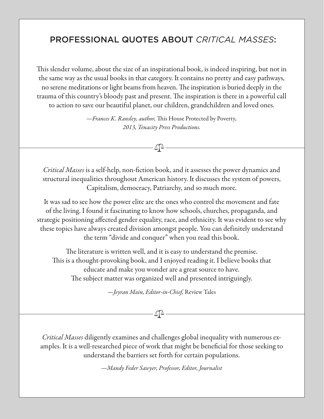### PROFESSIONAL QUOTES ABOUT *CRITICAL MASSES*:

This slender volume, about the size of an inspirational book, is indeed inspiring, but not in the same way as the usual books in that category. It contains no pretty and easy pathways, no serene meditations or light beams from heaven. The inspiration is buried deeply in the trauma of this country's bloody past and present. The inspiration is there in a powerful call to action to save our beautiful planet, our children, grandchildren and loved ones.

> *—Frances K. Ransley, author,* This House Protected by Poverty*, 2013, Tenacity Press Productions.*

> > ₫Δ

*Critical Masses* is a self-help, non-fiction book, and it assesses the power dynamics and structural inequalities throughout American history. It discusses the system of powers, Capitalism, democracy, Patriarchy, and so much more.

It was sad to see how the power elite are the ones who control the movement and fate of the living. I found it fascinating to know how schools, churches, propaganda, and strategic positioning affected gender equality, race, and ethnicity. It was evident to see why these topics have always created division amongst people. You can definitely understand the term "divide and conquer" when you read this book.

The literature is written well, and it is easy to understand the premise. This is a thought-provoking book, and I enjoyed reading it. I believe books that educate and make you wonder are a great source to have. The subject matter was organized well and presented intriguingly.

—*Jeyran Main, Editor-in-Chief,* Review Tales

∆[∆

*Critical Masses* diligently examines and challenges global inequality with numerous examples. It is a well-researched piece of work that might be beneficial for those seeking to understand the barriers set forth for certain populations.

*—Mandy Feder Sawyer, Professor, Editor, Journalist*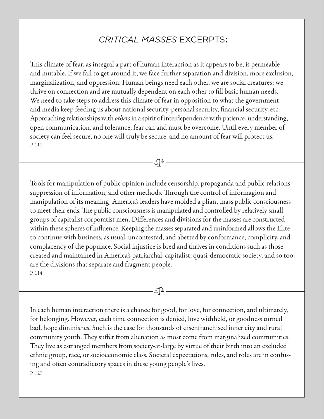#### *CRITICAL MASSES* EXCERPTS:

This climate of fear, as integral a part of human interaction as it appears to be, is permeable and mutable. If we fail to get around it, we face further separation and division, more exclusion, marginalization, and oppression. Human beings need each other, we are social creatures; we thrive on connection and are mutually dependent on each other to fill basic human needs. We need to take steps to address this climate of fear in opposition to what the government and media keep feeding us about national security, personal security, financial security, etc. Approaching relationships with *others* in a spirit of interdependence with patience, understanding, open communication, and tolerance, fear can and must be overcome. Until every member of society can feel secure, no one will truly be secure, and no amount of fear will protect us. P. 111

 $-\Delta$  $\Delta$ 

Tools for manipulation of public opinion include censorship, propaganda and public relations, suppression of information, and other methods. Through the control of informagion and manipulation of its meaning, America's leaders have molded a pliant mass public consciousness to meet their ends. The public consciousness is manipulated and controlled by relatively small groups of capitalist corporatist men. Differences and divisions for the masses are constructed within these spheres of influence. Keeping the masses separated and uninformed allows the Elite to continue with business, as usual, uncontested, and abetted by conformance, complicity, and complacency of the populace. Social injustice is bred and thrives in conditions such as those created and maintained in America's patriarchal, capitalist, quasi-democratic society, and so too, are the divisions that separate and fragment people. P. 114

In each human interaction there is a chance for good, for love, for connection, and ultimately, for belonging. However, each time connection is denied, love withheld, or goodness turned bad, hope diminishes. Such is the case for thousands of disenfranchised inner city and rural community youth. They suffer from alienation as most come from marginalized communities. They live as estranged members from society-at-large by virtue of their birth into an excluded ethnic group, race, or socioeconomic class. Societal expectations, rules, and roles are in confusing and often contradictory spaces in these young people's lives. P. 127

∆ि